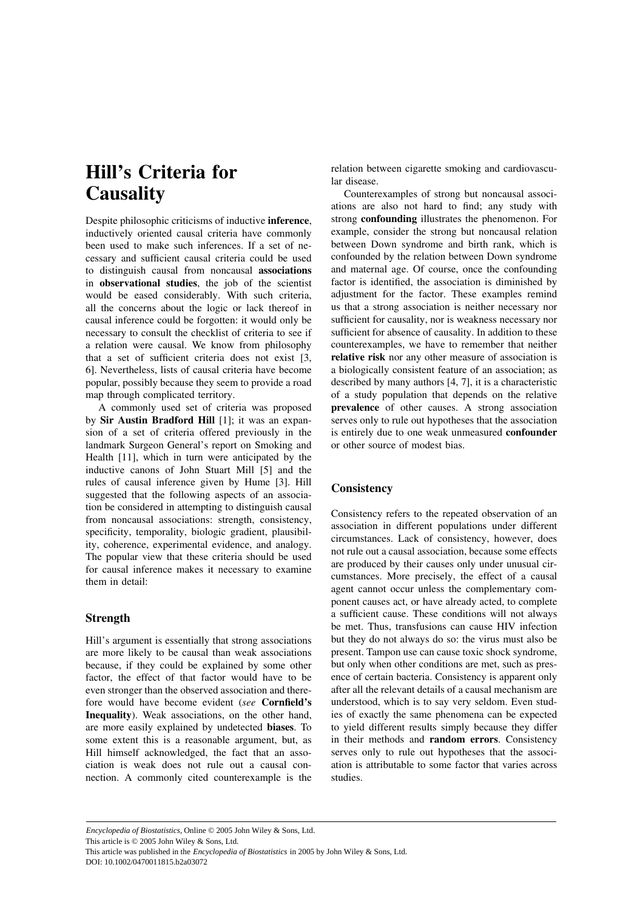# **Hill's Criteria for Causality**

Despite philosophic criticisms of inductive **inference**, inductively oriented causal criteria have commonly been used to make such inferences. If a set of necessary and sufficient causal criteria could be used to distinguish causal from noncausal **associations** in **observational studies**, the job of the scientist would be eased considerably. With such criteria, all the concerns about the logic or lack thereof in causal inference could be forgotten: it would only be necessary to consult the checklist of criteria to see if a relation were causal. We know from philosophy that a set of sufficient criteria does not exist [3, 6]. Nevertheless, lists of causal criteria have become popular, possibly because they seem to provide a road map through complicated territory.

A commonly used set of criteria was proposed by **Sir Austin Bradford Hill** [1]; it was an expansion of a set of criteria offered previously in the landmark Surgeon General's report on Smoking and Health [11], which in turn were anticipated by the inductive canons of John Stuart Mill [5] and the rules of causal inference given by Hume [3]. Hill suggested that the following aspects of an association be considered in attempting to distinguish causal from noncausal associations: strength, consistency, specificity, temporality, biologic gradient, plausibility, coherence, experimental evidence, and analogy. The popular view that these criteria should be used for causal inference makes it necessary to examine them in detail:

# **Strength**

Hill's argument is essentially that strong associations are more likely to be causal than weak associations because, if they could be explained by some other factor, the effect of that factor would have to be even stronger than the observed association and therefore would have become evident (*see* **Cornfield's Inequality**). Weak associations, on the other hand, are more easily explained by undetected **biases**. To some extent this is a reasonable argument, but, as Hill himself acknowledged, the fact that an association is weak does not rule out a causal connection. A commonly cited counterexample is the

relation between cigarette smoking and cardiovascular disease.

Counterexamples of strong but noncausal associations are also not hard to find; any study with strong **confounding** illustrates the phenomenon. For example, consider the strong but noncausal relation between Down syndrome and birth rank, which is confounded by the relation between Down syndrome and maternal age. Of course, once the confounding factor is identified, the association is diminished by adjustment for the factor. These examples remind us that a strong association is neither necessary nor sufficient for causality, nor is weakness necessary nor sufficient for absence of causality. In addition to these counterexamples, we have to remember that neither **relative risk** nor any other measure of association is a biologically consistent feature of an association; as described by many authors [4, 7], it is a characteristic of a study population that depends on the relative **prevalence** of other causes. A strong association serves only to rule out hypotheses that the association is entirely due to one weak unmeasured **confounder** or other source of modest bias.

# **Consistency**

Consistency refers to the repeated observation of an association in different populations under different circumstances. Lack of consistency, however, does not rule out a causal association, because some effects are produced by their causes only under unusual circumstances. More precisely, the effect of a causal agent cannot occur unless the complementary component causes act, or have already acted, to complete a sufficient cause. These conditions will not always be met. Thus, transfusions can cause HIV infection but they do not always do so: the virus must also be present. Tampon use can cause toxic shock syndrome, but only when other conditions are met, such as presence of certain bacteria. Consistency is apparent only after all the relevant details of a causal mechanism are understood, which is to say very seldom. Even studies of exactly the same phenomena can be expected to yield different results simply because they differ in their methods and **random errors**. Consistency serves only to rule out hypotheses that the association is attributable to some factor that varies across studies.

*Encyclopedia of Biostatistics,* Online © 2005 John Wiley & Sons, Ltd. This article is © 2005 John Wiley & Sons, Ltd. This article was published in the *Encyclopedia of Biostatistics* in 2005 by John Wiley & Sons, Ltd. DOI: 10.1002/0470011815.b2a03072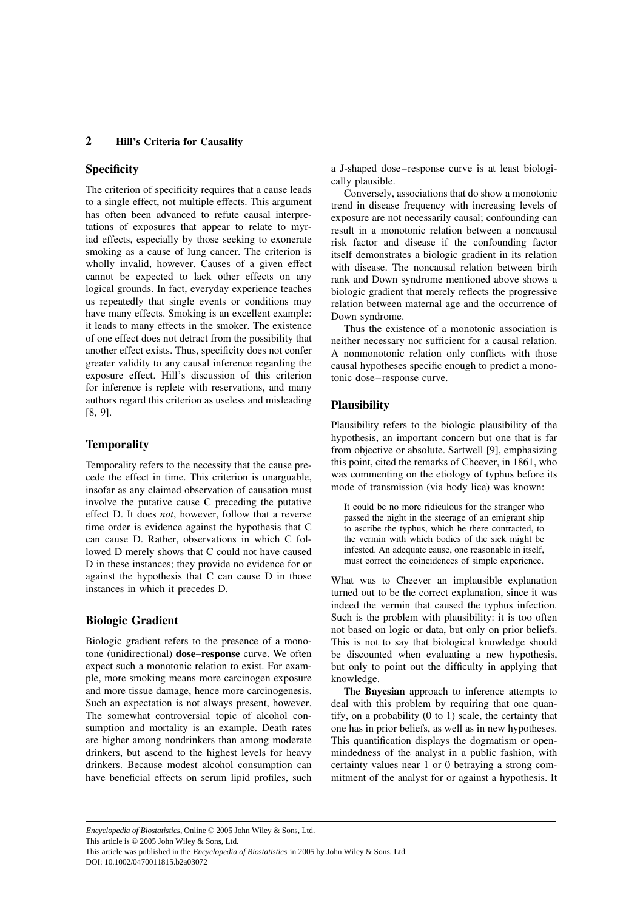### **2 Hill's Criteria for Causality**

#### **Specificity**

The criterion of specificity requires that a cause leads to a single effect, not multiple effects. This argument has often been advanced to refute causal interpretations of exposures that appear to relate to myriad effects, especially by those seeking to exonerate smoking as a cause of lung cancer. The criterion is wholly invalid, however. Causes of a given effect cannot be expected to lack other effects on any logical grounds. In fact, everyday experience teaches us repeatedly that single events or conditions may have many effects. Smoking is an excellent example: it leads to many effects in the smoker. The existence of one effect does not detract from the possibility that another effect exists. Thus, specificity does not confer greater validity to any causal inference regarding the exposure effect. Hill's discussion of this criterion for inference is replete with reservations, and many authors regard this criterion as useless and misleading [8, 9].

# **Temporality**

Temporality refers to the necessity that the cause precede the effect in time. This criterion is unarguable, insofar as any claimed observation of causation must involve the putative cause C preceding the putative effect D. It does *not*, however, follow that a reverse time order is evidence against the hypothesis that C can cause D. Rather, observations in which C followed D merely shows that C could not have caused D in these instances; they provide no evidence for or against the hypothesis that C can cause D in those instances in which it precedes D.

### **Biologic Gradient**

Biologic gradient refers to the presence of a monotone (unidirectional) **dose–response** curve. We often expect such a monotonic relation to exist. For example, more smoking means more carcinogen exposure and more tissue damage, hence more carcinogenesis. Such an expectation is not always present, however. The somewhat controversial topic of alcohol consumption and mortality is an example. Death rates are higher among nondrinkers than among moderate drinkers, but ascend to the highest levels for heavy drinkers. Because modest alcohol consumption can have beneficial effects on serum lipid profiles, such

a J-shaped dose– response curve is at least biologically plausible.

Conversely, associations that do show a monotonic trend in disease frequency with increasing levels of exposure are not necessarily causal; confounding can result in a monotonic relation between a noncausal risk factor and disease if the confounding factor itself demonstrates a biologic gradient in its relation with disease. The noncausal relation between birth rank and Down syndrome mentioned above shows a biologic gradient that merely reflects the progressive relation between maternal age and the occurrence of Down syndrome.

Thus the existence of a monotonic association is neither necessary nor sufficient for a causal relation. A nonmonotonic relation only conflicts with those causal hypotheses specific enough to predict a monotonic dose– response curve.

### **Plausibility**

Plausibility refers to the biologic plausibility of the hypothesis, an important concern but one that is far from objective or absolute. Sartwell [9], emphasizing this point, cited the remarks of Cheever, in 1861, who was commenting on the etiology of typhus before its mode of transmission (via body lice) was known:

It could be no more ridiculous for the stranger who passed the night in the steerage of an emigrant ship to ascribe the typhus, which he there contracted, to the vermin with which bodies of the sick might be infested. An adequate cause, one reasonable in itself, must correct the coincidences of simple experience.

What was to Cheever an implausible explanation turned out to be the correct explanation, since it was indeed the vermin that caused the typhus infection. Such is the problem with plausibility: it is too often not based on logic or data, but only on prior beliefs. This is not to say that biological knowledge should be discounted when evaluating a new hypothesis, but only to point out the difficulty in applying that knowledge.

The **Bayesian** approach to inference attempts to deal with this problem by requiring that one quantify, on a probability (0 to 1) scale, the certainty that one has in prior beliefs, as well as in new hypotheses. This quantification displays the dogmatism or openmindedness of the analyst in a public fashion, with certainty values near 1 or 0 betraying a strong commitment of the analyst for or against a hypothesis. It

*Encyclopedia of Biostatistics,* Online © 2005 John Wiley & Sons, Ltd. This article is © 2005 John Wiley & Sons, Ltd. This article was published in the *Encyclopedia of Biostatistics* in 2005 by John Wiley & Sons, Ltd. DOI: 10.1002/0470011815.b2a03072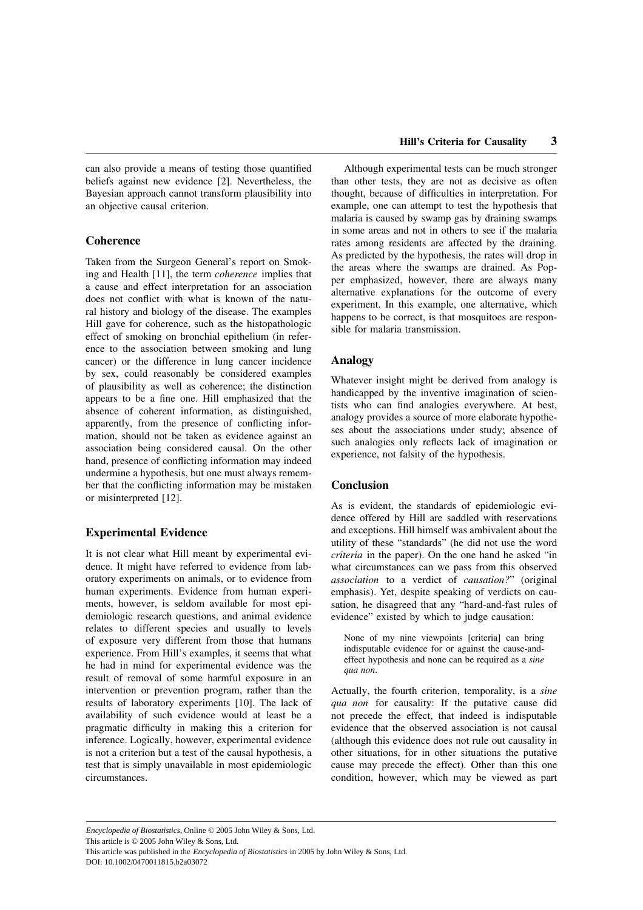can also provide a means of testing those quantified beliefs against new evidence [2]. Nevertheless, the Bayesian approach cannot transform plausibility into an objective causal criterion.

# **Coherence**

Taken from the Surgeon General's report on Smoking and Health [11], the term *coherence* implies that a cause and effect interpretation for an association does not conflict with what is known of the natural history and biology of the disease. The examples Hill gave for coherence, such as the histopathologic effect of smoking on bronchial epithelium (in reference to the association between smoking and lung cancer) or the difference in lung cancer incidence by sex, could reasonably be considered examples of plausibility as well as coherence; the distinction appears to be a fine one. Hill emphasized that the absence of coherent information, as distinguished, apparently, from the presence of conflicting information, should not be taken as evidence against an association being considered causal. On the other hand, presence of conflicting information may indeed undermine a hypothesis, but one must always remember that the conflicting information may be mistaken or misinterpreted [12].

# **Experimental Evidence**

It is not clear what Hill meant by experimental evidence. It might have referred to evidence from laboratory experiments on animals, or to evidence from human experiments. Evidence from human experiments, however, is seldom available for most epidemiologic research questions, and animal evidence relates to different species and usually to levels of exposure very different from those that humans experience. From Hill's examples, it seems that what he had in mind for experimental evidence was the result of removal of some harmful exposure in an intervention or prevention program, rather than the results of laboratory experiments [10]. The lack of availability of such evidence would at least be a pragmatic difficulty in making this a criterion for inference. Logically, however, experimental evidence is not a criterion but a test of the causal hypothesis, a test that is simply unavailable in most epidemiologic circumstances.

Although experimental tests can be much stronger than other tests, they are not as decisive as often thought, because of difficulties in interpretation. For example, one can attempt to test the hypothesis that malaria is caused by swamp gas by draining swamps in some areas and not in others to see if the malaria rates among residents are affected by the draining. As predicted by the hypothesis, the rates will drop in the areas where the swamps are drained. As Popper emphasized, however, there are always many alternative explanations for the outcome of every experiment. In this example, one alternative, which happens to be correct, is that mosquitoes are responsible for malaria transmission.

# **Analogy**

Whatever insight might be derived from analogy is handicapped by the inventive imagination of scientists who can find analogies everywhere. At best, analogy provides a source of more elaborate hypotheses about the associations under study; absence of such analogies only reflects lack of imagination or experience, not falsity of the hypothesis.

# **Conclusion**

As is evident, the standards of epidemiologic evidence offered by Hill are saddled with reservations and exceptions. Hill himself was ambivalent about the utility of these "standards" (he did not use the word *criteria* in the paper). On the one hand he asked "in what circumstances can we pass from this observed *association* to a verdict of *causation?*" (original emphasis). Yet, despite speaking of verdicts on causation, he disagreed that any "hard-and-fast rules of evidence" existed by which to judge causation:

None of my nine viewpoints [criteria] can bring indisputable evidence for or against the cause-andeffect hypothesis and none can be required as a *sine qua non*.

Actually, the fourth criterion, temporality, is a *sine qua non* for causality: If the putative cause did not precede the effect, that indeed is indisputable evidence that the observed association is not causal (although this evidence does not rule out causality in other situations, for in other situations the putative cause may precede the effect). Other than this one condition, however, which may be viewed as part

*Encyclopedia of Biostatistics,* Online © 2005 John Wiley & Sons, Ltd. This article is © 2005 John Wiley & Sons, Ltd. This article was published in the *Encyclopedia of Biostatistics* in 2005 by John Wiley & Sons, Ltd. DOI: 10.1002/0470011815.b2a03072